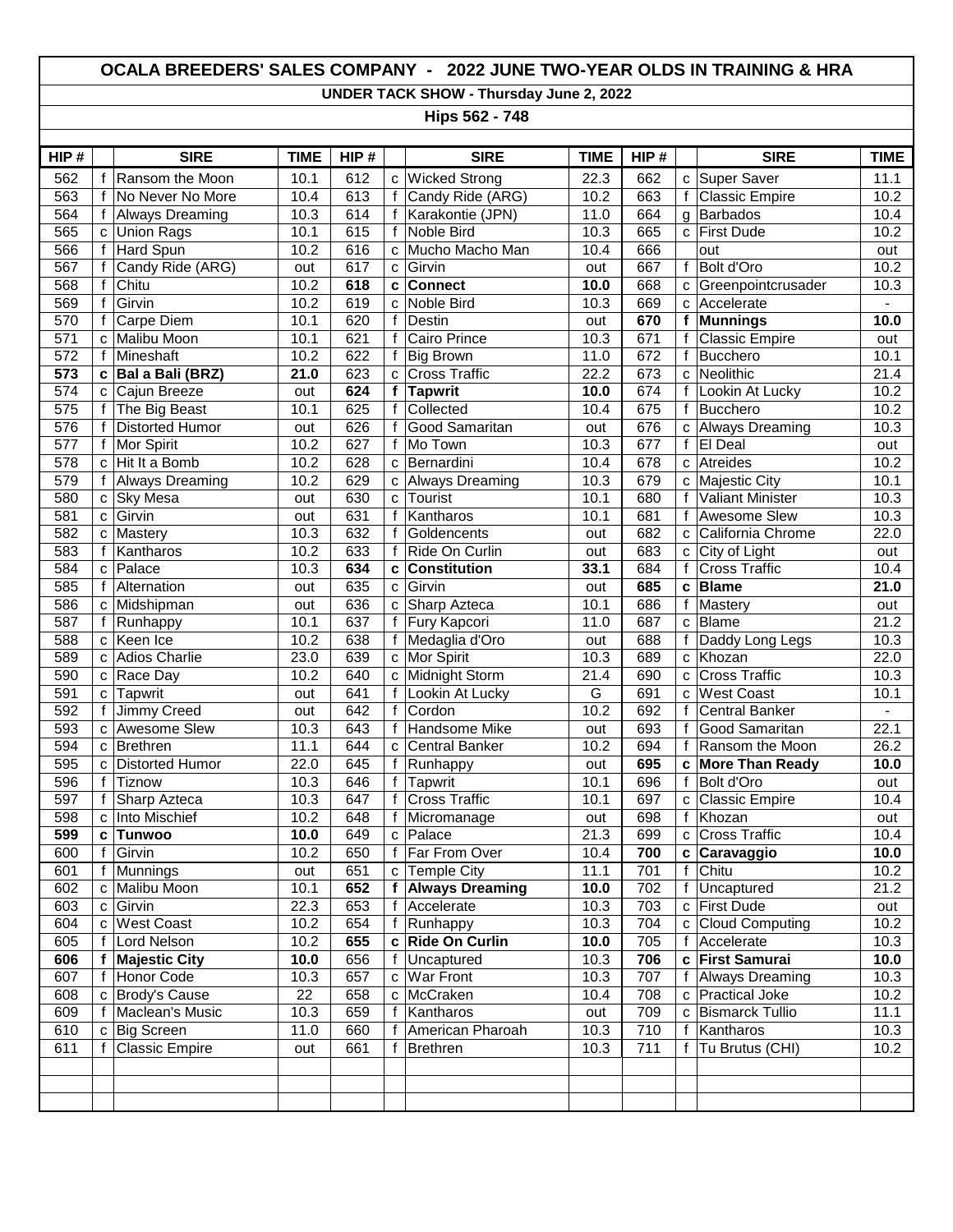## **OCALA BREEDERS' SALES COMPANY - 2022 JUNE TWO-YEAR OLDS IN TRAINING & HRA**

**UNDER TACK SHOW - Thursday June 2, 2022**

**Hips 562 - 748**

| HIP#             |              | <b>SIRE</b>            | <b>TIME</b> | HIP# |              | <b>SIRE</b>            | <b>TIME</b> | HIP# |              | <b>SIRE</b>             | <b>TIME</b>    |
|------------------|--------------|------------------------|-------------|------|--------------|------------------------|-------------|------|--------------|-------------------------|----------------|
| 562              | f            | Ransom the Moon        | 10.1        | 612  | C            | <b>Wicked Strong</b>   | 22.3        | 662  | C            | Super Saver             | 11.1           |
| 563              | f            | No Never No More       | 10.4        | 613  | $\mathsf f$  | Candy Ride (ARG)       | 10.2        | 663  | f            | Classic Empire          | 10.2           |
| 564              | f            | <b>Always Dreaming</b> | 10.3        | 614  | $\mathsf{f}$ | Karakontie (JPN)       | 11.0        | 664  | g            | Barbados                | 10.4           |
| 565              | $\mathbf{C}$ | <b>Union Rags</b>      | 10.1        | 615  | f            | Noble Bird             | 10.3        | 665  | C            | <b>First Dude</b>       | 10.2           |
| 566              | $\mathsf{f}$ | Hard Spun              | 10.2        | 616  | C            | Mucho Macho Man        | 10.4        | 666  |              | out                     | out            |
| 567              | f            | Candy Ride (ARG)       | out         | 617  | C            | Girvin                 | out         | 667  | $\mathsf{f}$ | <b>Bolt d'Oro</b>       | 10.2           |
| 568              | f            | Chitu                  | 10.2        | 618  | C            | <b>Connect</b>         | 10.0        | 668  | C            | Greenpointcrusader      | 10.3           |
| 569              | $\mathsf f$  | Girvin                 | 10.2        | 619  | C            | <b>Noble Bird</b>      | 10.3        | 669  | C            | Accelerate              | $\blacksquare$ |
| 570              | f            | <b>Carpe Diem</b>      | 10.1        | 620  | $\mathsf{f}$ | Destin                 | out         | 670  | f            | Munnings                | 10.0           |
| 571              | C            | Malibu Moon            | 10.1        | 621  | $\mathsf f$  | <b>Cairo Prince</b>    | 10.3        | 671  | f            | <b>Classic Empire</b>   | out            |
| 572              | f            | Mineshaft              | 10.2        | 622  | f            | <b>Big Brown</b>       | 11.0        | 672  | $\mathsf{f}$ | Bucchero                | 10.1           |
| 573              | c            | Bal a Bali (BRZ)       | 21.0        | 623  | C            | <b>Cross Traffic</b>   | 22.2        | 673  | C            | Neolithic               | 21.4           |
| 574              | $\mathbf{C}$ | Cajun Breeze           | out         | 624  | f            | <b>Tapwrit</b>         | 10.0        | 674  | $\mathsf{f}$ | Lookin At Lucky         | 10.2           |
| 575              | $\mathsf{f}$ | The Big Beast          | 10.1        | 625  | $\mathbf f$  | Collected              | 10.4        | 675  | f            | Bucchero                | 10.2           |
| 576              | f            | Distorted Humor        | out         | 626  | f            | Good Samaritan         | out         | 676  | C            | <b>Always Dreaming</b>  | 10.3           |
| $\overline{577}$ | f            | Mor Spirit             | 10.2        | 627  | f            | Mo Town                | 10.3        | 677  | f            | El Deal                 | out            |
| 578              | C            | Hit It a Bomb          | 10.2        | 628  | C            | Bernardini             | 10.4        | 678  | C            | Atreides                | 10.2           |
| 579              | f            | <b>Always Dreaming</b> | 10.2        | 629  | C            | <b>Always Dreaming</b> | 10.3        | 679  | C            | Majestic City           | 10.1           |
| 580              | C            | <b>Sky Mesa</b>        | out         | 630  | C            | Tourist                | 10.1        | 680  | $\mathsf{f}$ | <b>Valiant Minister</b> | 10.3           |
| 581              | $\mathbf{C}$ | Girvin                 | out         | 631  | $\mathsf f$  | Kantharos              | 10.1        | 681  | $\mathbf{f}$ | <b>Awesome Slew</b>     | 10.3           |
| 582              | $\mathbf{C}$ | Mastery                | 10.3        | 632  | f            | Goldencents            | out         | 682  | C            | California Chrome       | 22.0           |
| 583              | f            | Kantharos              | 10.2        | 633  | $\mathsf{f}$ | Ride On Curlin         | out         | 683  | C            | City of Light           | out            |
| 584              | $\mathbf{C}$ | Palace                 | 10.3        | 634  | c            | Constitution           | 33.1        | 684  | $\mathsf{f}$ | <b>Cross Traffic</b>    | 10.4           |
| 585              | $\mathsf{f}$ | Alternation            | out         | 635  | C            | Girvin                 | out         | 685  | C            | <b>Blame</b>            | 21.0           |
| 586              | $\mathbf{C}$ | Midshipman             | out         | 636  | C            | Sharp Azteca           | 10.1        | 686  | $\mathsf{f}$ | Mastery                 | out            |
| 587              | f            | Runhappy               | 10.1        | 637  | f            | Fury Kapcori           | 11.0        | 687  | C            | Blame                   | 21.2           |
| 588              | C            | Keen Ice               | 10.2        | 638  | f            | Medaglia d'Oro         | out         | 688  | $\mathsf{f}$ | Daddy Long Legs         | 10.3           |
| 589              | $\mathbf{C}$ | <b>Adios Charlie</b>   | 23.0        | 639  | C            | Mor Spirit             | 10.3        | 689  | C            | Khozan                  | 22.0           |
| 590              | C            | Race Day               | 10.2        | 640  | c            | Midnight Storm         | 21.4        | 690  | C            | <b>Cross Traffic</b>    | 10.3           |
| 591              | $\mathbf{C}$ | Tapwrit                | out         | 641  | $\mathsf f$  | Lookin At Lucky        | G           | 691  | C            | <b>West Coast</b>       | 10.1           |
| 592              | f            | <b>Jimmy Creed</b>     | out         | 642  | $\mathsf{f}$ | Cordon                 | 10.2        | 692  | $\mathbf{f}$ | Central Banker          |                |
| 593              | C            | <b>Awesome Slew</b>    | 10.3        | 643  | $\mathsf{f}$ | Handsome Mike          | out         | 693  | $\mathsf{f}$ | Good Samaritan          | 22.1           |
| 594              | $\mathbf{C}$ | <b>Brethren</b>        | 11.1        | 644  | C            | <b>Central Banker</b>  | 10.2        | 694  | $\mathsf{f}$ | Ransom the Moon         | 26.2           |
| 595              | $\mathbf{C}$ | Distorted Humor        | 22.0        | 645  | $\mathsf{f}$ | Runhappy               | out         | 695  | C            | <b>More Than Ready</b>  | 10.0           |
| 596              | $\mathsf{f}$ | Tiznow                 | 10.3        | 646  | f            | Tapwrit                | 10.1        | 696  | $\mathsf{f}$ | Bolt d'Oro              | out            |
| 597              | f            | Sharp Azteca           | 10.3        | 647  | $\mathsf{f}$ | <b>Cross Traffic</b>   | 10.1        | 697  | C            | <b>Classic Empire</b>   | 10.4           |
| 598              | C            | Into Mischief          | 10.2        | 648  | f            | Micromanage            | out         | 698  | $\mathsf{f}$ | Khozan                  | out            |
| 599              | C            | <b>Tunwoo</b>          | 10.0        | 649  |              | c   Palace             | 21.3        | 699  | C            | <b>Cross Traffic</b>    | 10.4           |
| 600              |              | f $ Girvin$            | 10.2        | 650  |              | f   Far From Over      | 10.4        | 700  |              | c Caravaggio            | 10.0           |
| 601              | f            | Munnings               | out         | 651  | C            | <b>Temple City</b>     | 11.1        | 701  | f            | Chitu                   | 10.2           |
| 602              | C            | Malibu Moon            | 10.1        | 652  | f            | <b>Always Dreaming</b> | 10.0        | 702  | f            | Uncaptured              | 21.2           |
| 603              | C            | Girvin                 | 22.3        | 653  |              | f Accelerate           | 10.3        | 703  | $\mathbf{C}$ | <b>First Dude</b>       | out            |
| 604              | C            | <b>West Coast</b>      | 10.2        | 654  | f            | Runhappy               | 10.3        | 704  | $\mathbf{C}$ | <b>Cloud Computing</b>  | 10.2           |
| 605              | f            | Lord Nelson            | 10.2        | 655  | $\mathbf{c}$ | <b>Ride On Curlin</b>  | 10.0        | 705  | f            | Accelerate              | 10.3           |
| 606              | f            | <b>Majestic City</b>   | 10.0        | 656  | $\mathsf{f}$ | Uncaptured             | 10.3        | 706  | C            | <b>First Samurai</b>    | 10.0           |
| 607              | f            | Honor Code             | 10.3        | 657  | C            | <b>War Front</b>       | 10.3        | 707  |              | <b>Always Dreaming</b>  | 10.3           |
| 608              | c            | Brody's Cause          | 22          | 658  | C            | McCraken               | 10.4        | 708  | C            | <b>Practical Joke</b>   | 10.2           |
| 609              | f            | Maclean's Music        | 10.3        | 659  | f            | Kantharos              | out         | 709  | C            | <b>Bismarck Tullio</b>  | 11.1           |
| 610              | C            | Big Screen             | 11.0        | 660  | f            | American Pharoah       | 10.3        | 710  | f            | Kantharos               | 10.3           |
| 611              |              | <b>Classic Empire</b>  | out         | 661  | f            | Brethren               | 10.3        | 711  | f            | Tu Brutus (CHI)         | 10.2           |
|                  |              |                        |             |      |              |                        |             |      |              |                         |                |
|                  |              |                        |             |      |              |                        |             |      |              |                         |                |
|                  |              |                        |             |      |              |                        |             |      |              |                         |                |